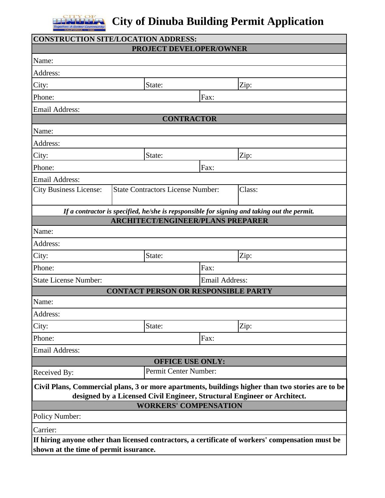

## **The City of Dinuba Building Permit Application**

| <b>CONSTRUCTION SITE/LOCATION ADDRESS:</b> |                                                                          |                         |                                                                                                  |
|--------------------------------------------|--------------------------------------------------------------------------|-------------------------|--------------------------------------------------------------------------------------------------|
|                                            | <b>PROJECT DEVELOPER/OWNER</b>                                           |                         |                                                                                                  |
| Name:                                      |                                                                          |                         |                                                                                                  |
| Address:                                   |                                                                          |                         |                                                                                                  |
| City:                                      | State:                                                                   |                         | Zip:                                                                                             |
| Phone:                                     |                                                                          | Fax:                    |                                                                                                  |
| <b>Email Address:</b>                      |                                                                          |                         |                                                                                                  |
|                                            |                                                                          | <b>CONTRACTOR</b>       |                                                                                                  |
| Name:                                      |                                                                          |                         |                                                                                                  |
| Address:                                   |                                                                          |                         |                                                                                                  |
| City:                                      | State:                                                                   |                         | Zip:                                                                                             |
| Phone:                                     |                                                                          | Fax:                    |                                                                                                  |
| <b>Email Address:</b>                      |                                                                          |                         |                                                                                                  |
| <b>City Business License:</b>              | <b>State Contractors License Number:</b>                                 |                         | Class:                                                                                           |
|                                            |                                                                          |                         | If a contractor is specified, he/she is repsponsible for signing and taking out the permit.      |
|                                            | <b>ARCHITECT/ENGINEER/PLANS PREPARER</b>                                 |                         |                                                                                                  |
| Name:                                      |                                                                          |                         |                                                                                                  |
| Address:                                   |                                                                          |                         |                                                                                                  |
| City:                                      | State:                                                                   |                         | Zip:                                                                                             |
| Phone:                                     |                                                                          | Fax:                    |                                                                                                  |
| <b>State License Number:</b>               |                                                                          | <b>Email Address:</b>   |                                                                                                  |
|                                            | <b>CONTACT PERSON OR RESPONSIBLE PARTY</b>                               |                         |                                                                                                  |
| Name:                                      |                                                                          |                         |                                                                                                  |
| Address:                                   |                                                                          |                         |                                                                                                  |
| City:                                      | State:                                                                   |                         | Zip:                                                                                             |
| Phone:                                     |                                                                          | Fax:                    |                                                                                                  |
| <b>Email Address:</b>                      |                                                                          |                         |                                                                                                  |
|                                            |                                                                          | <b>OFFICE USE ONLY:</b> |                                                                                                  |
| Received By:                               | Permit Center Number:                                                    |                         |                                                                                                  |
|                                            | designed by a Licensed Civil Engineer, Structural Engineer or Architect. |                         | Civil Plans, Commercial plans, 3 or more apartments, buildings higher than two stories are to be |
|                                            | <b>WORKERS' COMPENSATION</b>                                             |                         |                                                                                                  |
| Policy Number:                             |                                                                          |                         |                                                                                                  |
| Carrier:                                   |                                                                          |                         |                                                                                                  |
| shown at the time of permit issurance.     |                                                                          |                         | If hiring anyone other than licensed contractors, a certificate of workers' compensation must be |